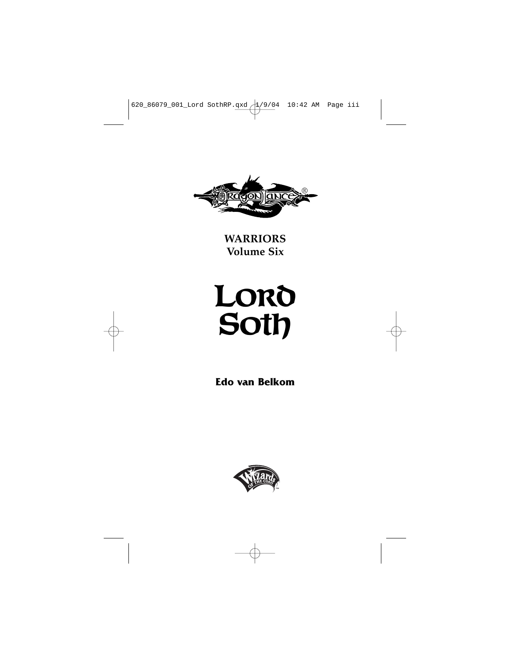

**WARRIORS Volume Six**

## Lord Soth

**Edo van Belkom**

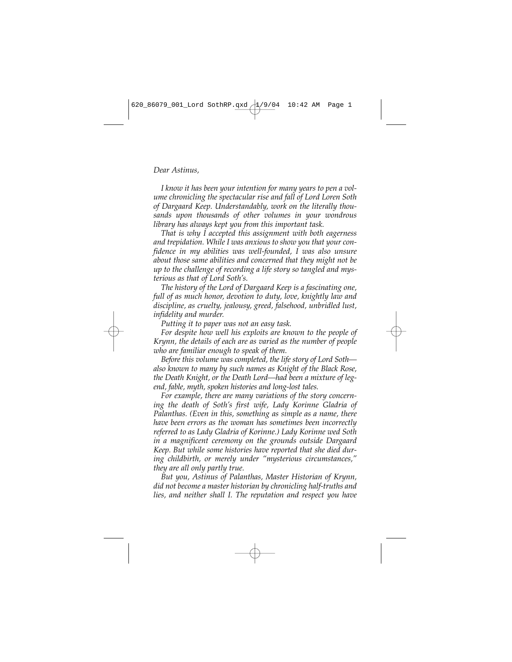*Dear Astinus,*

*I know it has been your intention for many years to pen a volume chronicling the spectacular rise and fall of Lord Loren Soth of Dargaard Keep. Understandably, work on the literally thousands upon thousands of other volumes in your wondrous library has always kept you from this important task.*

*That is why I accepted this assignment with both eagerness and trepidation. While I was anxious to show you that your confidence in my abilities was well-founded, I was also unsure about those same abilities and concerned that they might not be up to the challenge of recording a life story so tangled and mysterious as that of Lord Soth's.*

*The history of the Lord of Dargaard Keep is a fascinating one, full of as much honor, devotion to duty, love, knightly law and discipline, as cruelty, jealousy, greed, falsehood, unbridled lust, infidelity and murder.*

*Putting it to paper was not an easy task.*

*For despite how well his exploits are known to the people of Krynn, the details of each are as varied as the number of people who are familiar enough to speak of them.*

*Before this volume was completed, the life story of Lord Soth also known to many by such names as Knight of the Black Rose, the Death Knight, or the Death Lord—had been a mixture of legend, fable, myth, spoken histories and long-lost tales.*

*For example, there are many variations of the story concerning the death of Soth's first wife, Lady Korinne Gladria of Palanthas. (Even in this, something as simple as a name, there have been errors as the woman has sometimes been incorrectly referred to as Lady Gladria of Korinne.) Lady Korinne wed Soth in a magnificent ceremony on the grounds outside Dargaard Keep. But while some histories have reported that she died during childbirth, or merely under "mysterious circumstances," they are all only partly true.*

*But you, Astinus of Palanthas, Master Historian of Krynn, did not become a master historian by chronicling half-truths and lies, and neither shall I. The reputation and respect you have*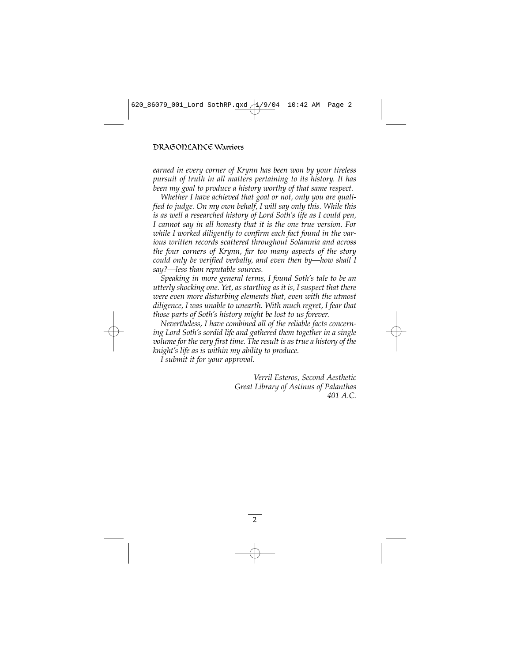## DRAGONLANCE Warriors

*earned in every corner of Krynn has been won by your tireless pursuit of truth in all matters pertaining to its history. It has been my goal to produce a history worthy of that same respect.*

*Whether I have achieved that goal or not, only you are qualified to judge. On my own behalf, I will say only this. While this is as well a researched history of Lord Soth's life as I could pen, I cannot say in all honesty that it is the one true version. For while I worked diligently to confirm each fact found in the various written records scattered throughout Solamnia and across the four corners of Krynn, far too many aspects of the story could only be verified verbally, and even then by—how shall I say?—less than reputable sources.*

*Speaking in more general terms, I found Soth's tale to be an utterly shocking one. Yet, as startling as it is, I suspect that there were even more disturbing elements that, even with the utmost diligence, I was unable to unearth. With much regret, I fear that those parts of Soth's history might be lost to us forever.*

*Nevertheless, I have combined all of the reliable facts concerning Lord Soth's sordid life and gathered them together in a single volume for the very first time. The result is as true a history of the knight's life as is within my ability to produce.*

*I submit it for your approval.*

*Verril Esteros, Second Aesthetic Great Library of Astinus of Palanthas 401 A.C.*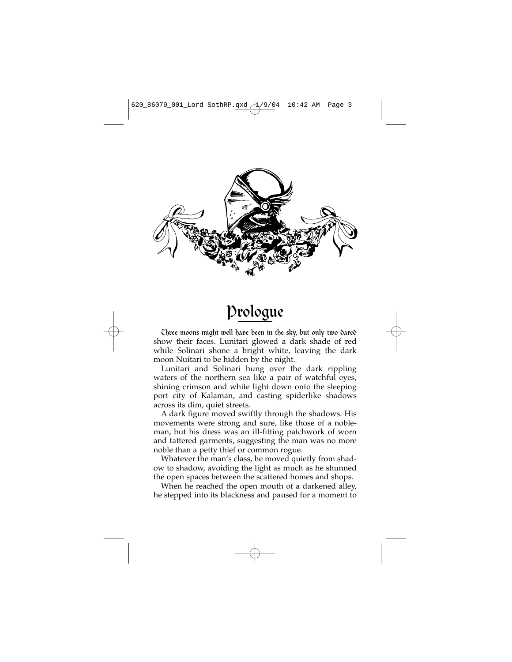

## Prologue

Three moons might well have been in the sky, but only two dared show their faces. Lunitari glowed a dark shade of red while Solinari shone a bright white, leaving the dark moon Nuitari to be hidden by the night.

Lunitari and Solinari hung over the dark rippling waters of the northern sea like a pair of watchful eyes, shining crimson and white light down onto the sleeping port city of Kalaman, and casting spiderlike shadows across its dim, quiet streets.

A dark figure moved swiftly through the shadows. His movements were strong and sure, like those of a nobleman, but his dress was an ill-fitting patchwork of worn and tattered garments, suggesting the man was no more noble than a petty thief or common rogue.

Whatever the man's class, he moved quietly from shadow to shadow, avoiding the light as much as he shunned the open spaces between the scattered homes and shops.

When he reached the open mouth of a darkened alley, he stepped into its blackness and paused for a moment to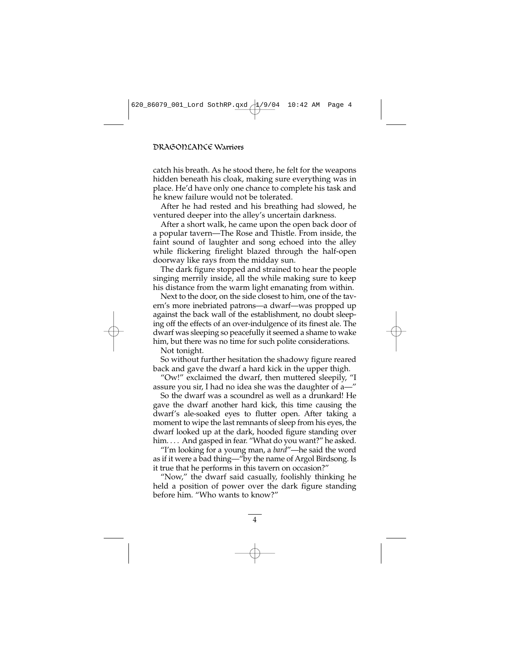catch his breath. As he stood there, he felt for the weapons hidden beneath his cloak, making sure everything was in place. He'd have only one chance to complete his task and he knew failure would not be tolerated.

After he had rested and his breathing had slowed, he ventured deeper into the alley's uncertain darkness.

After a short walk, he came upon the open back door of a popular tavern—The Rose and Thistle. From inside, the faint sound of laughter and song echoed into the alley while flickering firelight blazed through the half-open doorway like rays from the midday sun.

The dark figure stopped and strained to hear the people singing merrily inside, all the while making sure to keep his distance from the warm light emanating from within.

Next to the door, on the side closest to him, one of the tavern's more inebriated patrons—a dwarf—was propped up against the back wall of the establishment, no doubt sleeping off the effects of an over-indulgence of its finest ale. The dwarf was sleeping so peacefully it seemed a shame to wake him, but there was no time for such polite considerations.

Not tonight.

So without further hesitation the shadowy figure reared back and gave the dwarf a hard kick in the upper thigh.

"Ow!" exclaimed the dwarf, then muttered sleepily, "I assure you sir, I had no idea she was the daughter of a—"

So the dwarf was a scoundrel as well as a drunkard! He gave the dwarf another hard kick, this time causing the dwarf's ale-soaked eyes to flutter open. After taking a moment to wipe the last remnants of sleep from his eyes, the dwarf looked up at the dark, hooded figure standing over him. . . . And gasped in fear. "What do you want?" he asked.

"I'm looking for a young man, a *bard*"—he said the word as if it were a bad thing—"by the name of Argol Birdsong. Is it true that he performs in this tavern on occasion?"

"Now," the dwarf said casually, foolishly thinking he held a position of power over the dark figure standing before him. "Who wants to know?"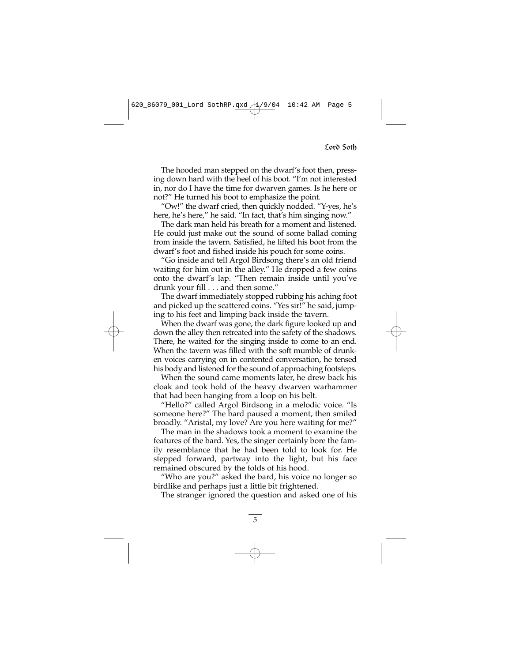The hooded man stepped on the dwarf's foot then, pressing down hard with the heel of his boot. "I'm not interested in, nor do I have the time for dwarven games. Is he here or not?" He turned his boot to emphasize the point.

"Ow!" the dwarf cried, then quickly nodded. "Y-yes, he's here, he's here," he said. "In fact, that's him singing now."

The dark man held his breath for a moment and listened. He could just make out the sound of some ballad coming from inside the tavern. Satisfied, he lifted his boot from the dwarf's foot and fished inside his pouch for some coins.

"Go inside and tell Argol Birdsong there's an old friend waiting for him out in the alley." He dropped a few coins onto the dwarf's lap. "Then remain inside until you've drunk your fill . . . and then some."

The dwarf immediately stopped rubbing his aching foot and picked up the scattered coins. "Yes sir!" he said, jumping to his feet and limping back inside the tavern.

When the dwarf was gone, the dark figure looked up and down the alley then retreated into the safety of the shadows. There, he waited for the singing inside to come to an end. When the tavern was filled with the soft mumble of drunken voices carrying on in contented conversation, he tensed his body and listened for the sound of approaching footsteps.

When the sound came moments later, he drew back his cloak and took hold of the heavy dwarven warhammer that had been hanging from a loop on his belt.

"Hello?" called Argol Birdsong in a melodic voice. "Is someone here?" The bard paused a moment, then smiled broadly. "Aristal, my love? Are you here waiting for me?"

The man in the shadows took a moment to examine the features of the bard. Yes, the singer certainly bore the family resemblance that he had been told to look for. He stepped forward, partway into the light, but his face remained obscured by the folds of his hood.

"Who are you?" asked the bard, his voice no longer so birdlike and perhaps just a little bit frightened.

The stranger ignored the question and asked one of his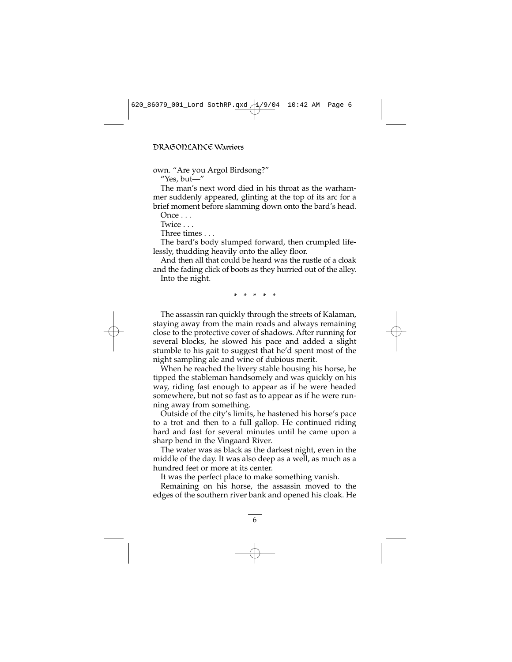## DRAGONLANCE Warriors

own. "Are you Argol Birdsong?"

"Yes, but—"

The man's next word died in his throat as the warhammer suddenly appeared, glinting at the top of its arc for a brief moment before slamming down onto the bard's head.

Once . . .

Twice . . .

Three times . . .

The bard's body slumped forward, then crumpled lifelessly, thudding heavily onto the alley floor.

And then all that could be heard was the rustle of a cloak and the fading click of boots as they hurried out of the alley. Into the night.

\* \* \* \* \*

The assassin ran quickly through the streets of Kalaman, staying away from the main roads and always remaining close to the protective cover of shadows. After running for several blocks, he slowed his pace and added a slight stumble to his gait to suggest that he'd spent most of the night sampling ale and wine of dubious merit.

When he reached the livery stable housing his horse, he tipped the stableman handsomely and was quickly on his way, riding fast enough to appear as if he were headed somewhere, but not so fast as to appear as if he were running away from something.

Outside of the city's limits, he hastened his horse's pace to a trot and then to a full gallop. He continued riding hard and fast for several minutes until he came upon a sharp bend in the Vingaard River.

The water was as black as the darkest night, even in the middle of the day. It was also deep as a well, as much as a hundred feet or more at its center.

It was the perfect place to make something vanish.

Remaining on his horse, the assassin moved to the edges of the southern river bank and opened his cloak. He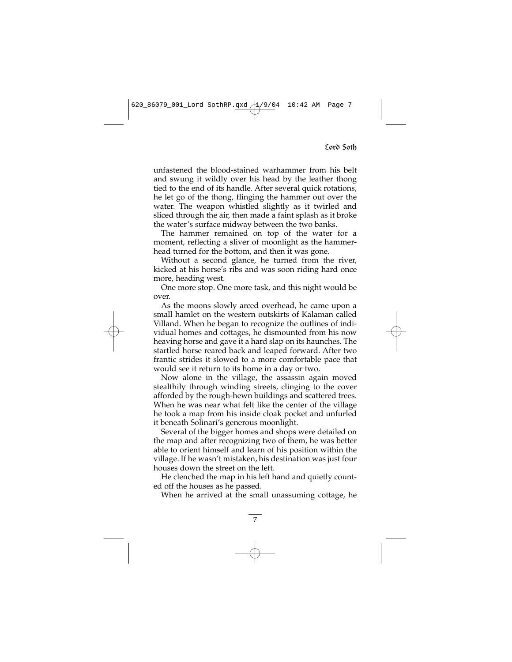unfastened the blood-stained warhammer from his belt and swung it wildly over his head by the leather thong tied to the end of its handle. After several quick rotations, he let go of the thong, flinging the hammer out over the water. The weapon whistled slightly as it twirled and sliced through the air, then made a faint splash as it broke the water's surface midway between the two banks.

The hammer remained on top of the water for a moment, reflecting a sliver of moonlight as the hammerhead turned for the bottom, and then it was gone.

Without a second glance, he turned from the river, kicked at his horse's ribs and was soon riding hard once more, heading west.

One more stop. One more task, and this night would be over.

As the moons slowly arced overhead, he came upon a small hamlet on the western outskirts of Kalaman called Villand. When he began to recognize the outlines of individual homes and cottages, he dismounted from his now heaving horse and gave it a hard slap on its haunches. The startled horse reared back and leaped forward. After two frantic strides it slowed to a more comfortable pace that would see it return to its home in a day or two.

Now alone in the village, the assassin again moved stealthily through winding streets, clinging to the cover afforded by the rough-hewn buildings and scattered trees. When he was near what felt like the center of the village he took a map from his inside cloak pocket and unfurled it beneath Solinari's generous moonlight.

Several of the bigger homes and shops were detailed on the map and after recognizing two of them, he was better able to orient himself and learn of his position within the village. If he wasn't mistaken, his destination was just four houses down the street on the left.

He clenched the map in his left hand and quietly counted off the houses as he passed.

When he arrived at the small unassuming cottage, he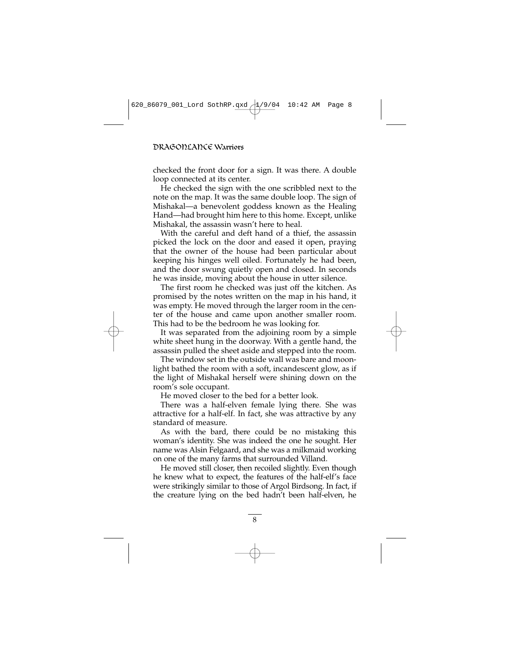checked the front door for a sign. It was there. A double loop connected at its center.

He checked the sign with the one scribbled next to the note on the map. It was the same double loop. The sign of Mishakal—a benevolent goddess known as the Healing Hand—had brought him here to this home. Except, unlike Mishakal, the assassin wasn't here to heal.

With the careful and deft hand of a thief, the assassin picked the lock on the door and eased it open, praying that the owner of the house had been particular about keeping his hinges well oiled. Fortunately he had been, and the door swung quietly open and closed. In seconds he was inside, moving about the house in utter silence.

The first room he checked was just off the kitchen. As promised by the notes written on the map in his hand, it was empty. He moved through the larger room in the center of the house and came upon another smaller room. This had to be the bedroom he was looking for.

It was separated from the adjoining room by a simple white sheet hung in the doorway. With a gentle hand, the assassin pulled the sheet aside and stepped into the room.

The window set in the outside wall was bare and moonlight bathed the room with a soft, incandescent glow, as if the light of Mishakal herself were shining down on the room's sole occupant.

He moved closer to the bed for a better look.

There was a half-elven female lying there. She was attractive for a half-elf. In fact, she was attractive by any standard of measure.

As with the bard, there could be no mistaking this woman's identity. She was indeed the one he sought. Her name was Alsin Felgaard, and she was a milkmaid working on one of the many farms that surrounded Villand.

He moved still closer, then recoiled slightly. Even though he knew what to expect, the features of the half-elf's face were strikingly similar to those of Argol Birdsong. In fact, if the creature lying on the bed hadn't been half-elven, he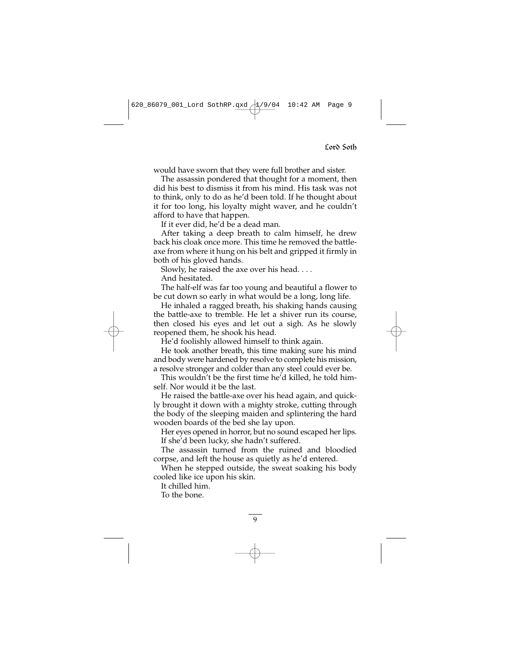would have sworn that they were full brother and sister.

The assassin pondered that thought for a moment, then did his best to dismiss it from his mind. His task was not to think, only to do as he'd been told. If he thought about it for too long, his loyalty might waver, and he couldn't afford to have that happen.

If it ever did, he'd be a dead man.

After taking a deep breath to calm himself, he drew back his cloak once more. This time he removed the battleaxe from where it hung on his belt and gripped it firmly in both of his gloved hands.

Slowly, he raised the axe over his head. . . .

And hesitated.

The half-elf was far too young and beautiful a flower to be cut down so early in what would be a long, long life.

He inhaled a ragged breath, his shaking hands causing the battle-axe to tremble. He let a shiver run its course, then closed his eyes and let out a sigh. As he slowly reopened them, he shook his head.

He'd foolishly allowed himself to think again.

He took another breath, this time making sure his mind and body were hardened by resolve to complete his mission, a resolve stronger and colder than any steel could ever be.

This wouldn't be the first time he'd killed, he told himself. Nor would it be the last.

He raised the battle-axe over his head again, and quickly brought it down with a mighty stroke, cutting through the body of the sleeping maiden and splintering the hard wooden boards of the bed she lay upon.

Her eyes opened in horror, but no sound escaped her lips. If she'd been lucky, she hadn't suffered.

The assassin turned from the ruined and bloodied corpse, and left the house as quietly as he'd entered.

When he stepped outside, the sweat soaking his body cooled like ice upon his skin.

It chilled him.

To the bone.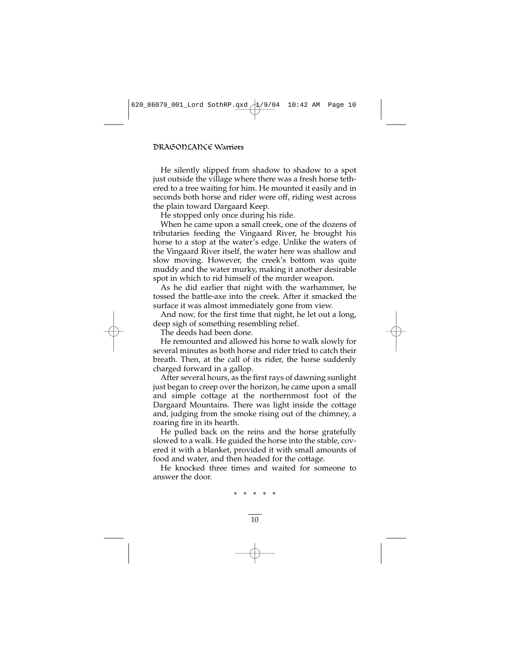He silently slipped from shadow to shadow to a spot just outside the village where there was a fresh horse tethered to a tree waiting for him. He mounted it easily and in seconds both horse and rider were off, riding west across the plain toward Dargaard Keep.

He stopped only once during his ride.

When he came upon a small creek, one of the dozens of tributaries feeding the Vingaard River, he brought his horse to a stop at the water's edge. Unlike the waters of the Vingaard River itself, the water here was shallow and slow moving. However, the creek's bottom was quite muddy and the water murky, making it another desirable spot in which to rid himself of the murder weapon.

As he did earlier that night with the warhammer, he tossed the battle-axe into the creek. After it smacked the surface it was almost immediately gone from view.

And now, for the first time that night, he let out a long, deep sigh of something resembling relief.

The deeds had been done.

He remounted and allowed his horse to walk slowly for several minutes as both horse and rider tried to catch their breath. Then, at the call of its rider, the horse suddenly charged forward in a gallop.

After several hours, as the first rays of dawning sunlight just began to creep over the horizon, he came upon a small and simple cottage at the northernmost foot of the Dargaard Mountains. There was light inside the cottage and, judging from the smoke rising out of the chimney, a roaring fire in its hearth.

He pulled back on the reins and the horse gratefully slowed to a walk. He guided the horse into the stable, covered it with a blanket, provided it with small amounts of food and water, and then headed for the cottage.

He knocked three times and waited for someone to answer the door.

\* \* \* \* \*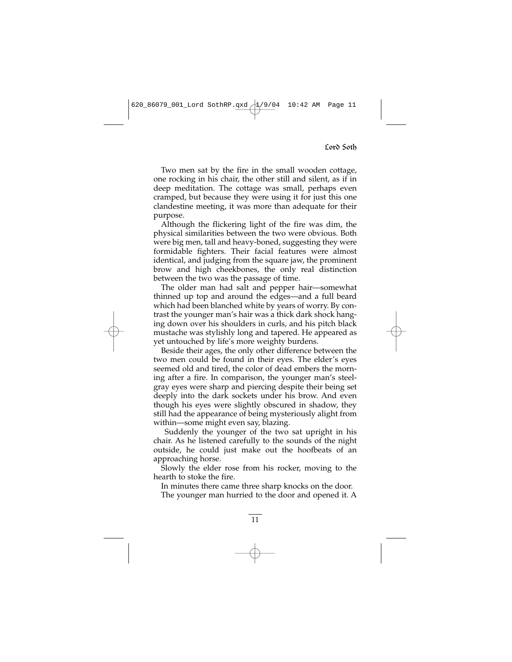Two men sat by the fire in the small wooden cottage, one rocking in his chair, the other still and silent, as if in deep meditation. The cottage was small, perhaps even cramped, but because they were using it for just this one clandestine meeting, it was more than adequate for their purpose.

Although the flickering light of the fire was dim, the physical similarities between the two were obvious. Both were big men, tall and heavy-boned, suggesting they were formidable fighters. Their facial features were almost identical, and judging from the square jaw, the prominent brow and high cheekbones, the only real distinction between the two was the passage of time.

The older man had salt and pepper hair—somewhat thinned up top and around the edges—and a full beard which had been blanched white by years of worry. By contrast the younger man's hair was a thick dark shock hanging down over his shoulders in curls, and his pitch black mustache was stylishly long and tapered. He appeared as yet untouched by life's more weighty burdens.

Beside their ages, the only other difference between the two men could be found in their eyes. The elder's eyes seemed old and tired, the color of dead embers the morning after a fire. In comparison, the younger man's steelgray eyes were sharp and piercing despite their being set deeply into the dark sockets under his brow. And even though his eyes were slightly obscured in shadow, they still had the appearance of being mysteriously alight from within—some might even say, blazing.

Suddenly the younger of the two sat upright in his chair. As he listened carefully to the sounds of the night outside, he could just make out the hoofbeats of an approaching horse.

Slowly the elder rose from his rocker, moving to the hearth to stoke the fire.

In minutes there came three sharp knocks on the door.

The younger man hurried to the door and opened it. A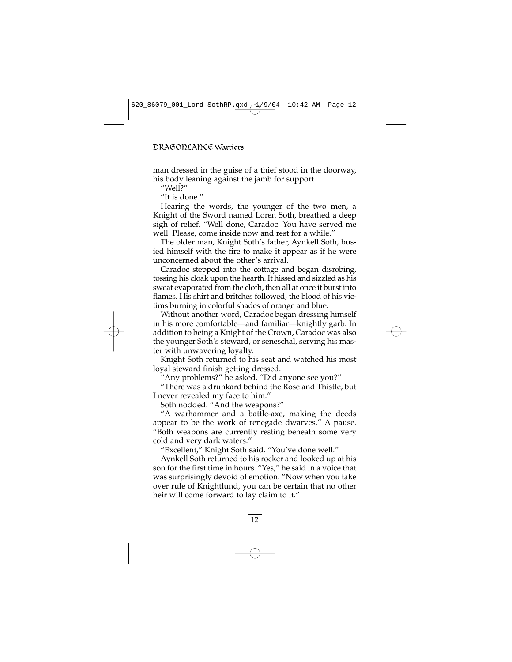man dressed in the guise of a thief stood in the doorway, his body leaning against the jamb for support.

"Well?"

"It is done."

Hearing the words, the younger of the two men, a Knight of the Sword named Loren Soth, breathed a deep sigh of relief. "Well done, Caradoc. You have served me well. Please, come inside now and rest for a while."

The older man, Knight Soth's father, Aynkell Soth, busied himself with the fire to make it appear as if he were unconcerned about the other's arrival.

Caradoc stepped into the cottage and began disrobing, tossing his cloak upon the hearth. It hissed and sizzled as his sweat evaporated from the cloth, then all at once it burst into flames. His shirt and britches followed, the blood of his victims burning in colorful shades of orange and blue.

Without another word, Caradoc began dressing himself in his more comfortable—and familiar—knightly garb. In addition to being a Knight of the Crown, Caradoc was also the younger Soth's steward, or seneschal, serving his master with unwavering loyalty.

Knight Soth returned to his seat and watched his most loyal steward finish getting dressed.

"Any problems?" he asked. "Did anyone see you?"

"There was a drunkard behind the Rose and Thistle, but I never revealed my face to him."

Soth nodded. "And the weapons?"

"A warhammer and a battle-axe, making the deeds appear to be the work of renegade dwarves." A pause. "Both weapons are currently resting beneath some very cold and very dark waters."

"Excellent," Knight Soth said. "You've done well."

Aynkell Soth returned to his rocker and looked up at his son for the first time in hours. "Yes," he said in a voice that was surprisingly devoid of emotion. "Now when you take over rule of Knightlund, you can be certain that no other heir will come forward to lay claim to it."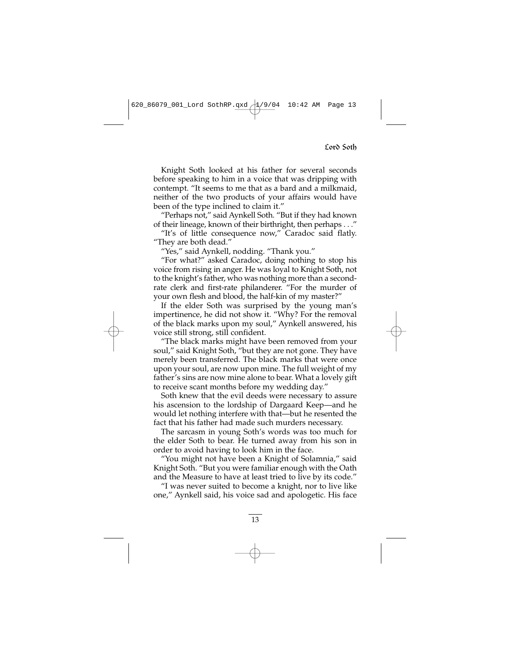Knight Soth looked at his father for several seconds before speaking to him in a voice that was dripping with contempt. "It seems to me that as a bard and a milkmaid, neither of the two products of your affairs would have been of the type inclined to claim it."

"Perhaps not," said Aynkell Soth. "But if they had known of their lineage, known of their birthright, then perhaps . . ."

"It's of little consequence now," Caradoc said flatly. "They are both dead."

"Yes," said Aynkell, nodding. "Thank you."

"For what?" asked Caradoc, doing nothing to stop his voice from rising in anger. He was loyal to Knight Soth, not to the knight's father, who was nothing more than a secondrate clerk and first-rate philanderer. "For the murder of your own flesh and blood, the half-kin of my master?"

If the elder Soth was surprised by the young man's impertinence, he did not show it. "Why? For the removal of the black marks upon my soul," Aynkell answered, his voice still strong, still confident.

"The black marks might have been removed from your soul," said Knight Soth, "but they are not gone. They have merely been transferred. The black marks that were once upon your soul, are now upon mine. The full weight of my father's sins are now mine alone to bear. What a lovely gift to receive scant months before my wedding day."

Soth knew that the evil deeds were necessary to assure his ascension to the lordship of Dargaard Keep—and he would let nothing interfere with that—but he resented the fact that his father had made such murders necessary.

The sarcasm in young Soth's words was too much for the elder Soth to bear. He turned away from his son in order to avoid having to look him in the face.

"You might not have been a Knight of Solamnia," said Knight Soth. "But you were familiar enough with the Oath and the Measure to have at least tried to live by its code."

"I was never suited to become a knight, nor to live like one," Aynkell said, his voice sad and apologetic. His face